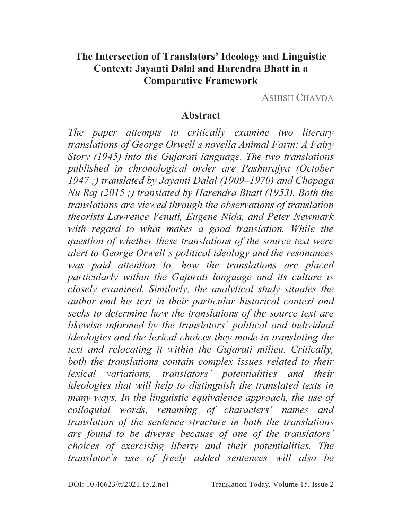### **The Intersection of Translators' Ideology and Linguistic Context: Jayanti Dalal and Harendra Bhatt in a Comparative Framework**

ASHISH CHAVDA

#### **Abstract**

*The paper attempts to critically examine two literary translations of George Orwell's novella Animal Farm: A Fairy Story (1945) into the Gujarati language. The two translations published in chronological order are Pashurajya (October 1947 ;) translated by Jayanti Dalal (1909–1970) and Chopaga Nu Raj (2015 ;) translated by Harendra Bhatt (1953). Both the translations are viewed through the observations of translation theorists Lawrence Venuti, Eugene Nida, and Peter Newmark*  with regard to what makes a good translation. While the *question of whether these translations of the source text were alert to George Orwell's political ideology and the resonances was paid attention to, how the translations are placed particularly within the Gujarati language and its culture is closely examined. Similarly, the analytical study situates the author and his text in their particular historical context and seeks to determine how the translations of the source text are likewise informed by the translators' political and individual ideologies and the lexical choices they made in translating the text and relocating it within the Gujarati milieu. Critically, both the translations contain complex issues related to their lexical variations, translators' potentialities and their ideologies that will help to distinguish the translated texts in many ways. In the linguistic equivalence approach, the use of colloquial words, renaming of characters' names and translation of the sentence structure in both the translations are found to be diverse because of one of the translators' choices of exercising liberty and their potentialities. The translator's use of freely added sentences will also be*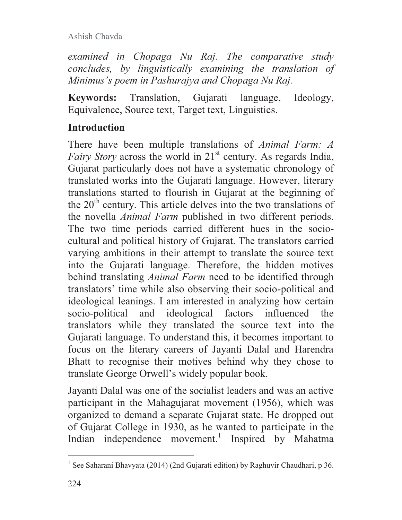*examined in Chopaga Nu Raj. The comparative study concludes, by linguistically examining the translation of Minimus's poem in Pashurajya and Chopaga Nu Raj.* 

**Keywords:** Translation, Gujarati language, Ideology, Equivalence, Source text, Target text, Linguistics.

# **Introduction**

There have been multiple translations of *Animal Farm: A Fairy Story* across the world in 21<sup>st</sup> century. As regards India, Gujarat particularly does not have a systematic chronology of translated works into the Gujarati language. However, literary translations started to flourish in Gujarat at the beginning of the  $20<sup>th</sup>$  century. This article delves into the two translations of the novella *Animal Farm* published in two different periods. The two time periods carried different hues in the sociocultural and political history of Gujarat. The translators carried varying ambitions in their attempt to translate the source text into the Gujarati language. Therefore, the hidden motives behind translating *Animal Farm* need to be identified through translators' time while also observing their socio-political and ideological leanings. I am interested in analyzing how certain socio-political and ideological factors influenced the translators while they translated the source text into the Gujarati language. To understand this, it becomes important to focus on the literary careers of Jayanti Dalal and Harendra Bhatt to recognise their motives behind why they chose to translate George Orwell's widely popular book.

Jayanti Dalal was one of the socialist leaders and was an active participant in the Mahagujarat movement (1956), which was organized to demand a separate Gujarat state. He dropped out of Gujarat College in 1930, as he wanted to participate in the Indian independence movement.<sup>1</sup> Inspired by Mahatma

<sup>&</sup>lt;sup>1</sup> See Saharani Bhavyata (2014) (2nd Gujarati edition) by Raghuvir Chaudhari, p 36.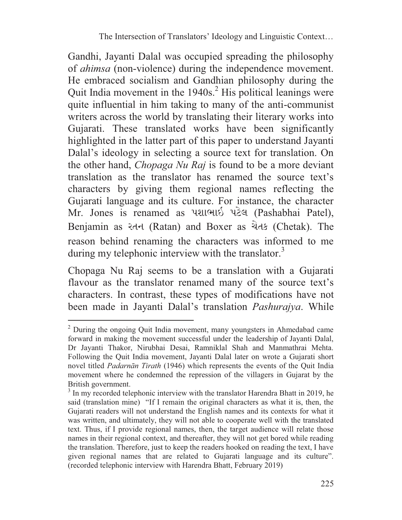Gandhi, Jayanti Dalal was occupied spreading the philosophy of *ahimsa* (non-violence) during the independence movement. He embraced socialism and Gandhian philosophy during the Quit India movement in the 1940s.<sup>2</sup> His political leanings were quite influential in him taking to many of the anti-communist writers across the world by translating their literary works into Gujarati. These translated works have been significantly highlighted in the latter part of this paper to understand Jayanti Dalal's ideology in selecting a source text for translation. On the other hand, *Chopaga Nu Raj* is found to be a more deviant translation as the translator has renamed the source text's characters by giving them regional names reflecting the Gujarati language and its culture. For instance, the character Mr. Jones is renamed as પશાભાઇ પટેલ (Pashabhai Patel), Benjamin as રતન (Ratan) and Boxer as ચેતક (Chetak). The reason behind renaming the characters was informed to me during my telephonic interview with the translator. $3$ 

Chopaga Nu Raj seems to be a translation with a Gujarati flavour as the translator renamed many of the source text's characters. In contrast, these types of modifications have not been made in Jayanti Dalal's translation *Pashurajya*. While

<sup>&</sup>lt;sup>2</sup> During the ongoing Quit India movement, many youngsters in Ahmedabad came forward in making the movement successful under the leadership of Jayanti Dalal, Dr Jayanti Thakor, Nirubhai Desai, Ramniklal Shah and Manmathrai Mehta. Following the Quit India movement, Jayanti Dalal later on wrote a Gujarati short novel titled *Padarnān Tirath* (1946) which represents the events of the Quit India movement where he condemned the repression of the villagers in Gujarat by the British government.

<sup>&</sup>lt;sup>3</sup> In my recorded telephonic interview with the translator Harendra Bhatt in 2019, he said (translation mine) "If I remain the original characters as what it is, then, the Gujarati readers will not understand the English names and its contexts for what it was written, and ultimately, they will not able to cooperate well with the translated text. Thus, if I provide regional names, then, the target audience will relate those names in their regional context, and thereafter, they will not get bored while reading the translation. Therefore, just to keep the readers hooked on reading the text, I have given regional names that are related to Gujarati language and its culture". (recorded telephonic interview with Harendra Bhatt, February 2019)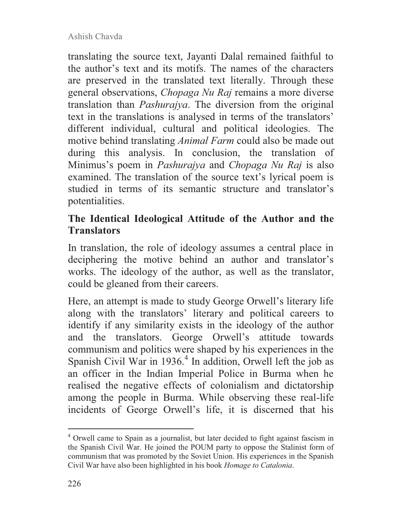translating the source text, Jayanti Dalal remained faithful to the author's text and its motifs. The names of the characters are preserved in the translated text literally. Through these general observations, *Chopaga Nu Raj* remains a more diverse translation than *Pashurajya*. The diversion from the original text in the translations is analysed in terms of the translators' different individual, cultural and political ideologies. The motive behind translating *Animal Farm* could also be made out during this analysis. In conclusion, the translation of Minimus's poem in *Pashurajya* and *Chopaga Nu Raj* is also examined. The translation of the source text's lyrical poem is studied in terms of its semantic structure and translator's potentialities.

### **The Identical Ideological Attitude of the Author and the Translators**

In translation, the role of ideology assumes a central place in deciphering the motive behind an author and translator's works. The ideology of the author, as well as the translator, could be gleaned from their careers.

Here, an attempt is made to study George Orwell's literary life along with the translators' literary and political careers to identify if any similarity exists in the ideology of the author and the translators. George Orwell's attitude towards communism and politics were shaped by his experiences in the Spanish Civil War in 1936.<sup>4</sup> In addition, Orwell left the job as an officer in the Indian Imperial Police in Burma when he realised the negative effects of colonialism and dictatorship among the people in Burma. While observing these real-life incidents of George Orwell's life, it is discerned that his

<sup>&</sup>lt;sup>4</sup> Orwell came to Spain as a journalist, but later decided to fight against fascism in the Spanish Civil War. He joined the POUM party to oppose the Stalinist form of communism that was promoted by the Soviet Union. His experiences in the Spanish Civil War have also been highlighted in his book *Homage to Catalonia*.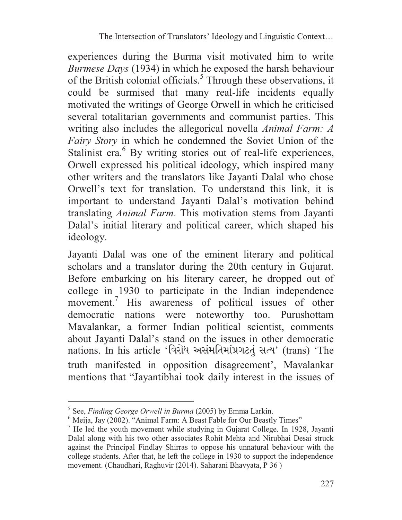experiences during the Burma visit motivated him to write *Burmese Days* (1934) in which he exposed the harsh behaviour of the British colonial officials.<sup>5</sup> Through these observations, it could be surmised that many real-life incidents equally motivated the writings of George Orwell in which he criticised several totalitarian governments and communist parties. This writing also includes the allegorical novella *Animal Farm: A Fairy Story* in which he condemned the Soviet Union of the Stalinist era.<sup>6</sup> By writing stories out of real-life experiences, Orwell expressed his political ideology, which inspired many other writers and the translators like Jayanti Dalal who chose Orwell's text for translation. To understand this link, it is important to understand Jayanti Dalal's motivation behind translating *Animal Farm*. This motivation stems from Jayanti Dalal's initial literary and political career, which shaped his ideology.

Jayanti Dalal was one of the eminent literary and political scholars and a translator during the 20th century in Gujarat. Before embarking on his literary career, he dropped out of college in 1930 to participate in the Indian independence movement.<sup>7</sup> His awareness of political issues of other democratic nations were noteworthy too. Purushottam Mavalankar, a former Indian political scientist, comments about Jayanti Dalal's stand on the issues in other democratic nations. In his article 'વિરોધ અસંમતિમાંપ્રગટતું સત્ય' (trans) 'The truth manifested in opposition disagreement', Mavalankar mentions that "Jayantibhai took daily interest in the issues of

<sup>5</sup> See, *Finding George Orwell in Burma* (2005) by Emma Larkin.

 $6$  Meija, Jay (2002). "Animal Farm: A Beast Fable for Our Beastly Times"

<sup>&</sup>lt;sup>7</sup> He led the youth movement while studying in Gujarat College. In 1928, Jayanti Dalal along with his two other associates Rohit Mehta and Nirubhai Desai struck against the Principal Findlay Shirras to oppose his unnatural behaviour with the college students. After that, he left the college in 1930 to support the independence movement. (Chaudhari, Raghuvir (2014). Saharani Bhavyata, P 36 )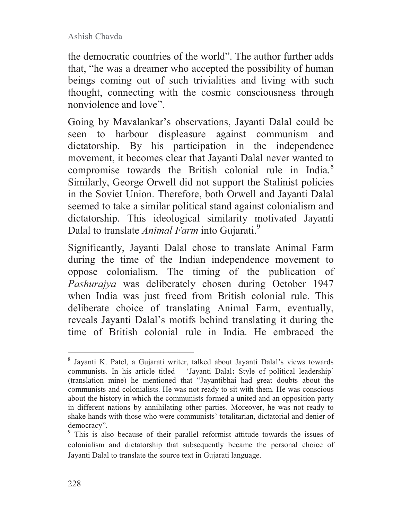the democratic countries of the world". The author further adds that, "he was a dreamer who accepted the possibility of human beings coming out of such trivialities and living with such thought, connecting with the cosmic consciousness through nonviolence and love".

Going by Mavalankar's observations, Jayanti Dalal could be seen to harbour displeasure against communism and dictatorship. By his participation in the independence movement, it becomes clear that Jayanti Dalal never wanted to compromise towards the British colonial rule in India.<sup>8</sup> Similarly, George Orwell did not support the Stalinist policies in the Soviet Union. Therefore, both Orwell and Jayanti Dalal seemed to take a similar political stand against colonialism and dictatorship. This ideological similarity motivated Jayanti Dalal to translate *Animal Farm* into Gujarati.<sup>9</sup>

Significantly, Jayanti Dalal chose to translate Animal Farm during the time of the Indian independence movement to oppose colonialism. The timing of the publication of *Pashurajya* was deliberately chosen during October 1947 when India was just freed from British colonial rule. This deliberate choice of translating Animal Farm, eventually, reveals Jayanti Dalal's motifs behind translating it during the time of British colonial rule in India. He embraced the

<sup>8</sup> Jayanti K. Patel, a Gujarati writer, talked about Jayanti Dalal's views towards communists. In his article titled 'Jayanti Dalal**:** Style of political leadership' (translation mine) he mentioned that "Jayantibhai had great doubts about the communists and colonialists. He was not ready to sit with them. He was conscious about the history in which the communists formed a united and an opposition party in different nations by annihilating other parties. Moreover, he was not ready to shake hands with those who were communists' totalitarian, dictatorial and denier of democracy".

<sup>&</sup>lt;sup>9</sup> This is also because of their parallel reformist attitude towards the issues of colonialism and dictatorship that subsequently became the personal choice of Jayanti Dalal to translate the source text in Gujarati language.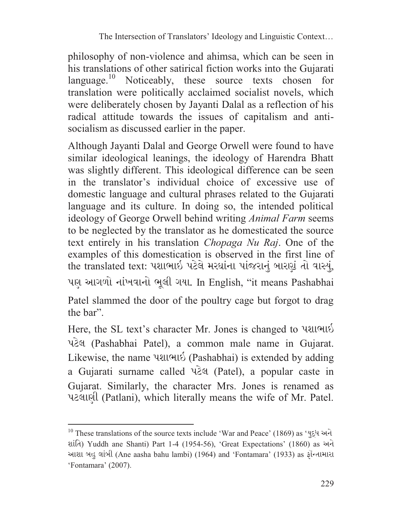philosophy of non-violence and ahimsa, which can be seen in his translations of other satirical fiction works into the Gujarati language.<sup>10</sup> Noticeably, these source texts chosen for translation were politically acclaimed socialist novels, which were deliberately chosen by Jayanti Dalal as a reflection of his radical attitude towards the issues of capitalism and antisocialism as discussed earlier in the paper.

Although Jayanti Dalal and George Orwell were found to have similar ideological leanings, the ideology of Harendra Bhatt was slightly different. This ideological difference can be seen in the translator's individual choice of excessive use of domestic language and cultural phrases related to the Gujarati language and its culture. In doing so, the intended political ideology of George Orwell behind writing *Animal Farm* seems to be neglected by the translator as he domesticated the source text entirely in his translation *Chopaga Nu Raj*. One of the examples of this domestication is observed in the first line of the translated text: પશાભાઇ પટેલે મરઘાંના પાંજરાનું બારણું તો વાસ્યું, પણ આગળો નાંખવાનો ભૂલી ગયા. In English, "it means Pashabhai Patel slammed the door of the poultry cage but forgot to drag the bar".

Here, the SL text's character Mr. Jones is changed to પશાભાઇ પટેલ (Pashabhai Patel), a common male name in Gujarat. Likewise, the name  $\text{Null}\&\text{(Pashabhai)}$  is extended by adding a Gujarati surname called પટેલ (Patel), a popular caste in Gujarat. Similarly, the character Mrs. Jones is renamed as પટલાણી (Patlani), which literally means the wife of Mr. Patel.

 $10$  These translations of the source texts include 'War and Peace' (1869) as 'युद्ध અને શાંતિ) Yuddh ane Shanti) Part 1-4 (1954-56), 'Great Expectations' (1860) as અને આશા બહુ લાંબી (Ane aasha bahu lambi) (1964) and 'Fontamara' (1933) as ફૉન્તામારા 'Fontamara' (2007).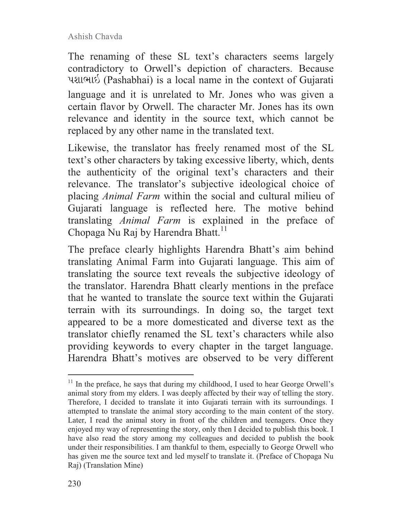The renaming of these SL text's characters seems largely contradictory to Orwell's depiction of characters. Because પશાભાઇ (Pashabhai) is a local name in the context of Gujarati language and it is unrelated to Mr. Jones who was given a certain flavor by Orwell. The character Mr. Jones has its own relevance and identity in the source text, which cannot be replaced by any other name in the translated text.

Likewise, the translator has freely renamed most of the SL text's other characters by taking excessive liberty, which, dents the authenticity of the original text's characters and their relevance. The translator's subjective ideological choice of placing *Animal Farm* within the social and cultural milieu of Gujarati language is reflected here. The motive behind translating *Animal Farm* is explained in the preface of Chopaga Nu Raj by Harendra Bhatt.<sup>11</sup>

The preface clearly highlights Harendra Bhatt's aim behind translating Animal Farm into Gujarati language. This aim of translating the source text reveals the subjective ideology of the translator. Harendra Bhatt clearly mentions in the preface that he wanted to translate the source text within the Gujarati terrain with its surroundings. In doing so, the target text appeared to be a more domesticated and diverse text as the translator chiefly renamed the SL text's characters while also providing keywords to every chapter in the target language. Harendra Bhatt's motives are observed to be very different

 $11$  In the preface, he says that during my childhood, I used to hear George Orwell's animal story from my elders. I was deeply affected by their way of telling the story. Therefore, I decided to translate it into Gujarati terrain with its surroundings. I attempted to translate the animal story according to the main content of the story. Later, I read the animal story in front of the children and teenagers. Once they enjoyed my way of representing the story, only then I decided to publish this book. I have also read the story among my colleagues and decided to publish the book under their responsibilities. I am thankful to them, especially to George Orwell who has given me the source text and led myself to translate it. (Preface of Chopaga Nu Raj) (Translation Mine)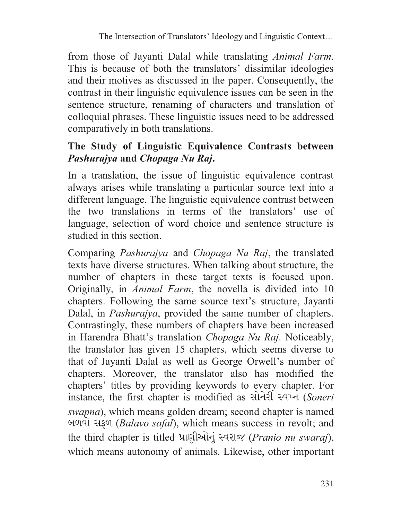from those of Jayanti Dalal while translating *Animal Farm*. This is because of both the translators' dissimilar ideologies and their motives as discussed in the paper. Consequently, the contrast in their linguistic equivalence issues can be seen in the sentence structure, renaming of characters and translation of colloquial phrases. These linguistic issues need to be addressed comparatively in both translations.

### **The Study of Linguistic Equivalence Contrasts between**  *Pashurajya* **and** *Chopaga Nu Raj***.**

In a translation, the issue of linguistic equivalence contrast always arises while translating a particular source text into a different language. The linguistic equivalence contrast between the two translations in terms of the translators' use of language, selection of word choice and sentence structure is studied in this section.

Comparing *Pashurajya* and *Chopaga Nu Raj*, the translated texts have diverse structures. When talking about structure, the number of chapters in these target texts is focused upon. Originally, in *Animal Farm*, the novella is divided into 10 chapters. Following the same source text's structure, Jayanti Dalal, in *Pashurajya*, provided the same number of chapters. Contrastingly, these numbers of chapters have been increased in Harendra Bhatt's translation *Chopaga Nu Raj*. Noticeably, the translator has given 15 chapters, which seems diverse to that of Jayanti Dalal as well as George Orwell's number of chapters. Moreover, the translator also has modified the chapters' titles by providing keywords to every chapter. For instance, the first chapter is modified as *સોનેરી સ્વપ્ન (Soneri swapna*), which means golden dream; second chapter is named گڝڜږڜڕڠ) *Balavo safal*), which means success in revolt; and the third chapter is titled પ્રાણીઓનું સ્વરાજ (*Pranio nu swaraj*), which means autonomy of animals. Likewise, other important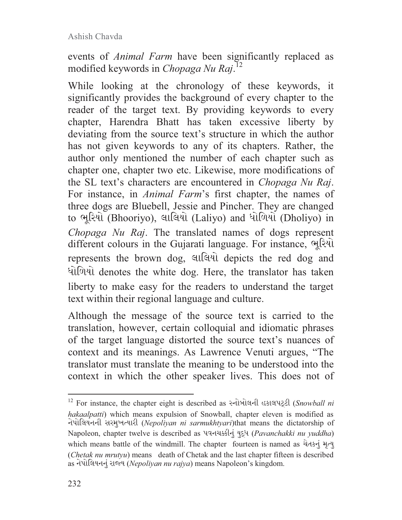events of *Animal Farm* have been significantly replaced as modified keywords in *Chopaga Nu Raj*. 12

While looking at the chronology of these keywords, it significantly provides the background of every chapter to the reader of the target text. By providing keywords to every chapter, Harendra Bhatt has taken excessive liberty by deviating from the source text's structure in which the author has not given keywords to any of its chapters. Rather, the author only mentioned the number of each chapter such as chapter one, chapter two etc. Likewise, more modifications of the SL text's characters are encountered in *Chopaga Nu Raj*. For instance, in *Animal Farm*'s first chapter, the names of three dogs are Bluebell, Jessie and Pincher. They are changed to ભૂરિયો (Bhooriyo), લાલિયો (Laliyo) and ધોળિયો (Dholiyo) in *Chopaga Nu Raj*. The translated names of dogs represent different colours in the Gujarati language. For instance, ભૂરિયો represents the brown dog, લાલિયો depicts the red dog and ધોળિયો denotes the white dog. Here, the translator has taken liberty to make easy for the readers to understand the target text within their regional language and culture.

Although the message of the source text is carried to the translation, however, certain colloquial and idiomatic phrases of the target language distorted the source text's nuances of context and its meanings. As Lawrence Venuti argues, "The translator must translate the meaning to be understood into the context in which the other speaker lives. This does not of

<sup>&</sup>lt;sup>12</sup> For instance, the chapter eight is described as <sup>2</sup> times in estanged (Snowball ni *hakaalpatti*) which means expulsion of Snowball, chapter eleven is modified as નેપોલિયનની સરમુખત્યારી (Nepoliyan ni sarmukhtyari)that means the dictatorship of Napoleon, chapter twelve is described as *પવનચક્કીનું યુદ્ધ (Pavanchakki nu yuddha)* which means battle of the windmill. The chapter fourteen is named as ચેતકનું મૃત્યુ (*Chetak nu mrutyu*) means death of Chetak and the last chapter fifteen is described as નેપોલિયનનું રાજ્ય (Nepoliyan nu rajya) means Napoleon's kingdom.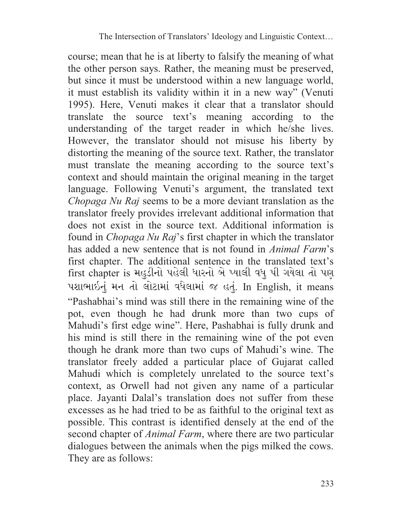course; mean that he is at liberty to falsify the meaning of what the other person says. Rather, the meaning must be preserved, but since it must be understood within a new language world, it must establish its validity within it in a new way" (Venuti 1995). Here, Venuti makes it clear that a translator should translate the source text's meaning according to the understanding of the target reader in which he/she lives. However, the translator should not misuse his liberty by distorting the meaning of the source text. Rather, the translator must translate the meaning according to the source text's context and should maintain the original meaning in the target language. Following Venuti's argument, the translated text *Chopaga Nu Raj* seems to be a more deviant translation as the translator freely provides irrelevant additional information that does not exist in the source text. Additional information is found in *Chopaga Nu Raj*'s first chapter in which the translator has added a new sentence that is not found in *Animal Farm*'s first chapter. The additional sentence in the translated text's first chapter is મહુડીનો પહેલી ધારનો બે પ્યાલી વધુ પી ગયેલા તો પણ પશાભાઇનું મન તો લોટામાં વધેલામાં જ હતું. In English, it means "Pashabhai's mind was still there in the remaining wine of the pot, even though he had drunk more than two cups of Mahudi's first edge wine". Here, Pashabhai is fully drunk and his mind is still there in the remaining wine of the pot even though he drank more than two cups of Mahudi's wine. The translator freely added a particular place of Gujarat called Mahudi which is completely unrelated to the source text's context, as Orwell had not given any name of a particular place. Jayanti Dalal's translation does not suffer from these excesses as he had tried to be as faithful to the original text as possible. This contrast is identified densely at the end of the second chapter of *Animal Farm*, where there are two particular dialogues between the animals when the pigs milked the cows. They are as follows: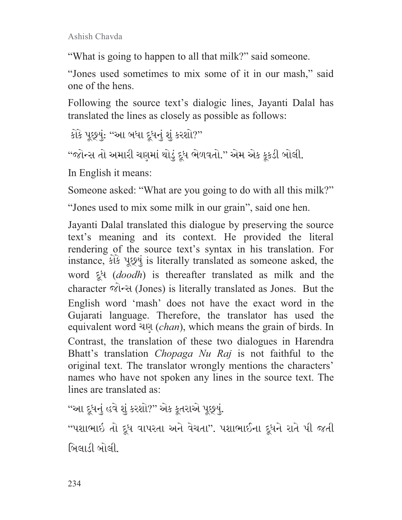"What is going to happen to all that milk?" said someone.

"Jones used sometimes to mix some of it in our mash," said one of the hens.

Following the source text's dialogic lines, Jayanti Dalal has translated the lines as closely as possible as follows:

કોકે પૂછ્યું: ''આ બધા દૂધનું શું કરશો?''

"જોન્સ તો અમારી ચણમાં થોડું દૂધ ભેળવતો." એમ એક કૂકડી બોલી.

In English it means:

Someone asked: "What are you going to do with all this milk?"

"Jones used to mix some milk in our grain", said one hen.

Jayanti Dalal translated this dialogue by preserving the source text's meaning and its context. He provided the literal rendering of the source text's syntax in his translation. For instance,  $\hat{\mathcal{L}}$  is literally translated as someone asked, the word દૂધ (*doodh*) is thereafter translated as milk and the character  $\widehat{\mathcal{A}}$  (Jones) is literally translated as Jones. But the English word 'mash' does not have the exact word in the Gujarati language. Therefore, the translator has used the equivalent word ڎڅ) *chan*), which means the grain of birds. In Contrast, the translation of these two dialogues in Harendra Bhatt's translation *Chopaga Nu Raj* is not faithful to the original text. The translator wrongly mentions the characters' names who have not spoken any lines in the source text. The lines are translated as:

"આ દૂધનું હવે શું કરશો?" એક કૂતરાએ પૂછ્યું.

"પશાભાઇ તો દૂધ વાપરતા અને વેચતા". પશાભાઈના દૂધને રાતે પી જતી બિલાડી બોલી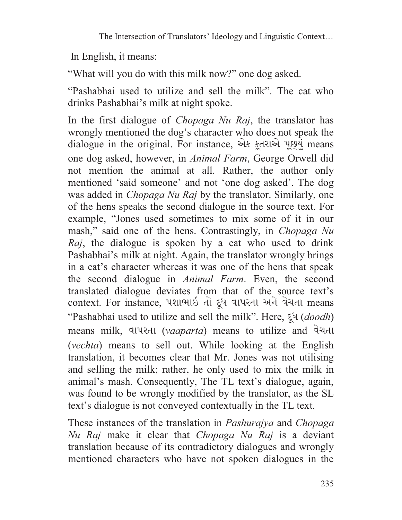In English, it means:

"What will you do with this milk now?" one dog asked.

"Pashabhai used to utilize and sell the milk". The cat who drinks Pashabhai's milk at night spoke.

In the first dialogue of *Chopaga Nu Raj*, the translator has wrongly mentioned the dog's character who does not speak the dialogue in the original. For instance, એક કૂતરાએ પૂછ્યું means one dog asked, however, in *Animal Farm*, George Orwell did not mention the animal at all. Rather, the author only mentioned 'said someone' and not 'one dog asked'. The dog was added in *Chopaga Nu Raj* by the translator. Similarly, one of the hens speaks the second dialogue in the source text. For example, "Jones used sometimes to mix some of it in our mash," said one of the hens. Contrastingly, in *Chopaga Nu Raj*, the dialogue is spoken by a cat who used to drink Pashabhai's milk at night. Again, the translator wrongly brings in a cat's character whereas it was one of the hens that speak the second dialogue in *Animal Farm*. Even, the second translated dialogue deviates from that of the source text's context. For instance, પશાભાઇ તો દૂધ વાપરતા અને વેચતા means "Pashabhai used to utilize and sell the milk". Here, ڒڨڑ) *doodh*) means milk, વાપરતા (vaaparta) means to utilize and વેચતા (*vechta*) means to sell out. While looking at the English translation, it becomes clear that Mr. Jones was not utilising and selling the milk; rather, he only used to mix the milk in animal's mash. Consequently, The TL text's dialogue, again, was found to be wrongly modified by the translator, as the SL text's dialogue is not conveyed contextually in the TL text.

These instances of the translation in *Pashurajya* and *Chopaga Nu Raj* make it clear that *Chopaga Nu Raj* is a deviant translation because of its contradictory dialogues and wrongly mentioned characters who have not spoken dialogues in the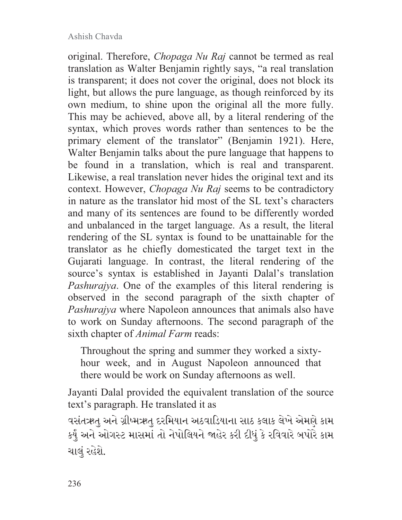original. Therefore, *Chopaga Nu Raj* cannot be termed as real translation as Walter Benjamin rightly says, "a real translation is transparent; it does not cover the original, does not block its light, but allows the pure language, as though reinforced by its own medium, to shine upon the original all the more fully. This may be achieved, above all, by a literal rendering of the syntax, which proves words rather than sentences to be the primary element of the translator" (Benjamin 1921). Here, Walter Benjamin talks about the pure language that happens to be found in a translation, which is real and transparent. Likewise, a real translation never hides the original text and its context. However, *Chopaga Nu Raj* seems to be contradictory in nature as the translator hid most of the SL text's characters and many of its sentences are found to be differently worded and unbalanced in the target language. As a result, the literal rendering of the SL syntax is found to be unattainable for the translator as he chiefly domesticated the target text in the Gujarati language. In contrast, the literal rendering of the source's syntax is established in Jayanti Dalal's translation *Pashurajya*. One of the examples of this literal rendering is observed in the second paragraph of the sixth chapter of *Pashurajya* where Napoleon announces that animals also have to work on Sunday afternoons. The second paragraph of the sixth chapter of *Animal Farm* reads:

Throughout the spring and summer they worked a sixtyhour week, and in August Napoleon announced that there would be work on Sunday afternoons as well.

Jayanti Dalal provided the equivalent translation of the source text's paragraph. He translated it as

વસંતઋતુ અને ગ્રીષ્મઋતુ દરમિયાન અઠવાડિયાના સાઠ કલાક લેખે એમણે કામ કર્યું અને ઓગસ્ટ માસમાં તો નેપોલિયને જાહેર કરી દીધું કે રવિવારે બપોરે કામ ચાલં રહેશે.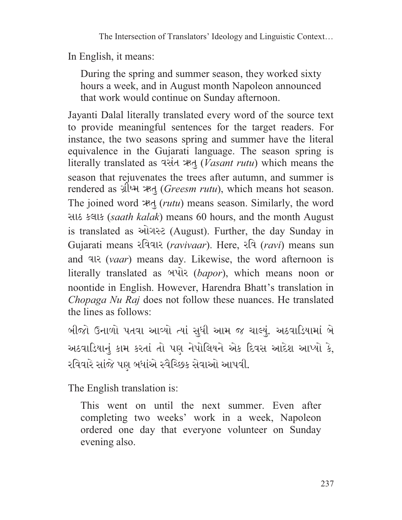In English, it means:

During the spring and summer season, they worked sixty hours a week, and in August month Napoleon announced that work would continue on Sunday afternoon.

Jayanti Dalal literally translated every word of the source text to provide meaningful sentences for the target readers. For instance, the two seasons spring and summer have the literal equivalence in the Gujarati language. The season spring is literally translated as ڏٱڠڝ ڧڏٹ) *Vasant rutu*) which means the season that rejuvenates the trees after autumn, and summer is rendered as ग्रीध्म *ऋतु (Greesm rutu)*, which means hot season. The joined word ڧڏٹ) *rutu*) means season. Similarly, the word સાઠ કલાક *(saath kalak)* means 60 hours, and the month August is translated as ઓગસ્ટ (August). Further, the day Sunday in Gujarati means રવિવાર *(ravivaar*). Here, રવિ *(ravi)* means sun and ښڤڝ) *vaar*) means day. Likewise, the word afternoon is literally translated as *બuis (bapor)*, which means noon or noontide in English. However, Harendra Bhatt's translation in *Chopaga Nu Raj* does not follow these nuances. He translated the lines as follows:

બીજો ઉનાળો પતવા આવ્યો ત્યાં સુધી આમ જ ચાલ્યું. અઠવાડિયામાં બે અઠવાડિયાનું કામ કરતાં તો પણ નેપોલિયને એક દિવસ આદેશ આપ્યો કે, રવિવારે સાંજે પણ બધાંએ સ્વૈચ્છિક સેવાઓ આપવી.

The English translation is:

This went on until the next summer. Even after completing two weeks' work in a week, Napoleon ordered one day that everyone volunteer on Sunday evening also.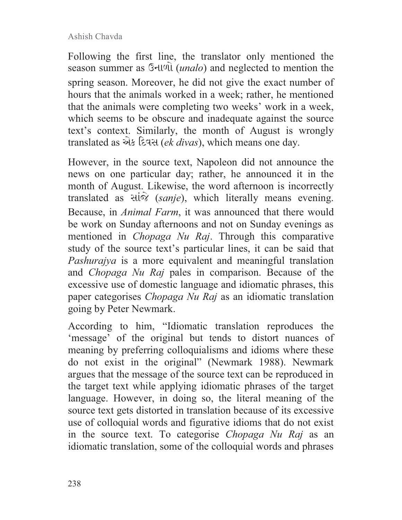Following the first line, the translator only mentioned the season summer as  $\Im$ -ll $\Im$  (*unalo*) and neglected to mention the spring season. Moreover, he did not give the exact number of hours that the animals worked in a week; rather, he mentioned that the animals were completing two weeks' work in a week, which seems to be obscure and inadequate against the source text's context. Similarly, the month of August is wrongly translated as એક દિવસ (ek divas), which means one day.

However, in the source text, Napoleon did not announce the news on one particular day; rather, he announced it in the month of August. Likewise, the word afternoon is incorrectly translated as  $\forall$ *i* $\hat{\alpha}$  *(sanje)*, which literally means evening. Because, in *Animal Farm*, it was announced that there would be work on Sunday afternoons and not on Sunday evenings as mentioned in *Chopaga Nu Raj*. Through this comparative study of the source text's particular lines, it can be said that *Pashurajya* is a more equivalent and meaningful translation and *Chopaga Nu Raj* pales in comparison. Because of the excessive use of domestic language and idiomatic phrases, this paper categorises *Chopaga Nu Raj* as an idiomatic translation going by Peter Newmark.

According to him, "Idiomatic translation reproduces the 'message' of the original but tends to distort nuances of meaning by preferring colloquialisms and idioms where these do not exist in the original" (Newmark 1988). Newmark argues that the message of the source text can be reproduced in the target text while applying idiomatic phrases of the target language. However, in doing so, the literal meaning of the source text gets distorted in translation because of its excessive use of colloquial words and figurative idioms that do not exist in the source text. To categorise *Chopaga Nu Raj* as an idiomatic translation, some of the colloquial words and phrases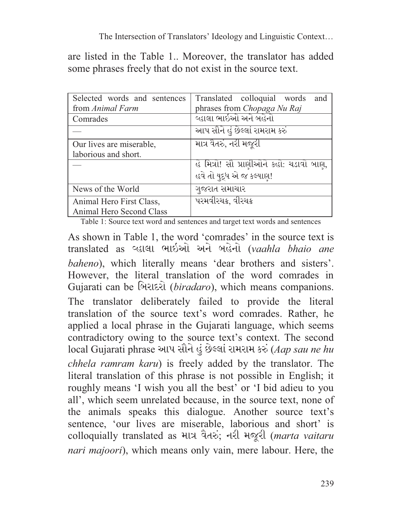are listed in the Table 1.. Moreover, the translator has added some phrases freely that do not exist in the source text.

| Selected words and sentences | Translated colloquial words<br>and      |
|------------------------------|-----------------------------------------|
| from Animal Farm             | phrases from Chopaga Nu Raj             |
| Comrades                     | વ્હાલા ભાઇઓ અને બહેનો                   |
|                              | આપ સૌને હું છેલ્લાં રામરામ કરું         |
| Our lives are miserable,     | માત્ર વૈતરું, નરી મજૂરી                 |
| laborious and short.         |                                         |
|                              | હે મિત્રો! સૌ પ્રાણીઓને કહો: ચડાવો બાણ, |
|                              | હવે તો યુદ્ધ એ જ કલ્યાણ!                |
| News of the World            | ગુજરાત સમાચાર                           |
| Animal Hero First Class,     | પરમવીરચક્ર, વીરચક્ર                     |
| Animal Hero Second Class     |                                         |

Table 1: Source text word and sentences and target text words and sentences

As shown in Table 1, the word 'comrades' in the source text is translated as વ્હાલા ભાઇઓ અને બહેનો (vaahla bhaio ane *baheno*), which literally means 'dear brothers and sisters'. However, the literal translation of the word comrades in Gujarati can be બિરાદરો *(biradaro)*, which means companions. The translator deliberately failed to provide the literal translation of the source text's word comrades. Rather, he applied a local phrase in the Gujarati language, which seems contradictory owing to the source text's context. The second local Gujarati phrase આપ સૌને હું છેલ્લાં રામરામ કરું (Aap sau ne hu *chhela ramram karu*) is freely added by the translator. The literal translation of this phrase is not possible in English; it roughly means 'I wish you all the best' or 'I bid adieu to you all', which seem unrelated because, in the source text, none of the animals speaks this dialogue. Another source text's sentence, 'our lives are miserable, laborious and short' is colloquially translated as માત્ર વૈતરું; નરી મજૂરી (marta vaitaru *nari majoori*), which means only vain, mere labour. Here, the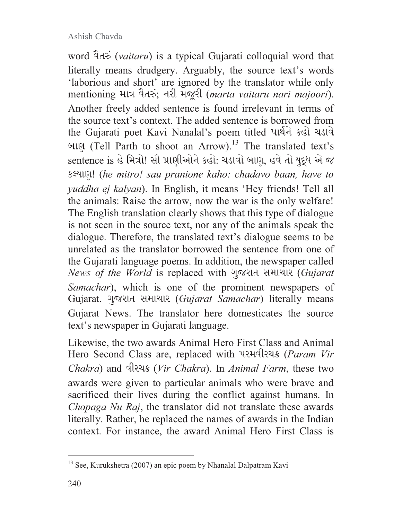word વૈતરું (vaitaru) is a typical Gujarati colloquial word that literally means drudgery. Arguably, the source text's words 'laborious and short' are ignored by the translator while only mentioning માત્ર વૈતરું; નરી મજૂરી (marta vaitaru nari majoori). Another freely added sentence is found irrelevant in terms of the source text's context. The added sentence is borrowed from the Gujarati poet Kavi Nanalal's poem titled પાર્થને કહો ચડાવે બાણ (Tell Parth to shoot an Arrow).<sup>13</sup> The translated text's sentence is હે મિત્રો! સૌ પ્રાણીઓને કહો: ચડાવો બાણ, હવે તો યુદ્ધ એ જ ڀḕڎڤڙ) !*he mitro! sau pranione kaho: chadavo baan, have to yuddha ej kalyan*). In English, it means 'Hey friends! Tell all the animals: Raise the arrow, now the war is the only welfare! The English translation clearly shows that this type of dialogue is not seen in the source text, nor any of the animals speak the dialogue. Therefore, the translated text's dialogue seems to be unrelated as the translator borrowed the sentence from one of the Gujarati language poems. In addition, the newspaper called *News of the World* is replaced with ગુજરાત સમાચાર (Gujarat *Samachar*), which is one of the prominent newspapers of Gujarat. ગુજરાત સમાચાર (Gujarat Samachar) literally means Gujarat News. The translator here domesticates the source text's newspaper in Gujarati language.

Likewise, the two awards Animal Hero First Class and Animal Hero Second Class are, replaced with પરમવીરચક્ર (*Param Vir Chakra*) and څښڦڝṀ (*Vir Chakra*). In *Animal Farm*, these two awards were given to particular animals who were brave and sacrificed their lives during the conflict against humans. In *Chopaga Nu Raj*, the translator did not translate these awards literally. Rather, he replaced the names of awards in the Indian context. For instance, the award Animal Hero First Class is

<sup>13</sup> See, Kurukshetra (2007) an epic poem by Nhanalal Dalpatram Kavi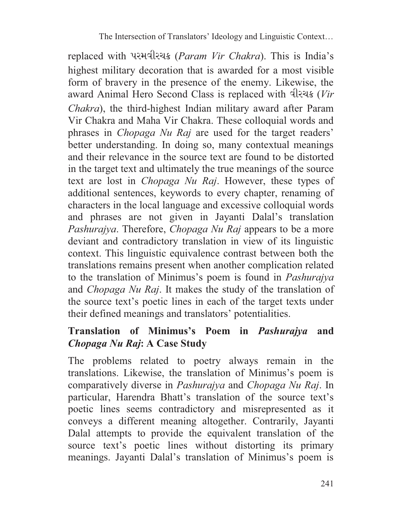replaced with પરમવીરચક્ર (*Param Vir Chakra*). This is India's highest military decoration that is awarded for a most visible form of bravery in the presence of the enemy. Likewise, the award Animal Hero Second Class is replaced with *Solves* (*Vir Chakra*), the third-highest Indian military award after Param Vir Chakra and Maha Vir Chakra. These colloquial words and phrases in *Chopaga Nu Raj* are used for the target readers' better understanding. In doing so, many contextual meanings and their relevance in the source text are found to be distorted in the target text and ultimately the true meanings of the source text are lost in *Chopaga Nu Raj*. However, these types of additional sentences, keywords to every chapter, renaming of characters in the local language and excessive colloquial words and phrases are not given in Jayanti Dalal's translation *Pashurajya*. Therefore, *Chopaga Nu Raj* appears to be a more deviant and contradictory translation in view of its linguistic context. This linguistic equivalence contrast between both the translations remains present when another complication related to the translation of Minimus's poem is found in *Pashurajya* and *Chopaga Nu Raj*. It makes the study of the translation of the source text's poetic lines in each of the target texts under their defined meanings and translators' potentialities.

## **Translation of Minimus's Poem in** *Pashurajya* **and**  *Chopaga Nu Raj***: A Case Study**

The problems related to poetry always remain in the translations. Likewise, the translation of Minimus's poem is comparatively diverse in *Pashurajya* and *Chopaga Nu Raj*. In particular, Harendra Bhatt's translation of the source text's poetic lines seems contradictory and misrepresented as it conveys a different meaning altogether. Contrarily, Jayanti Dalal attempts to provide the equivalent translation of the source text's poetic lines without distorting its primary meanings. Jayanti Dalal's translation of Minimus's poem is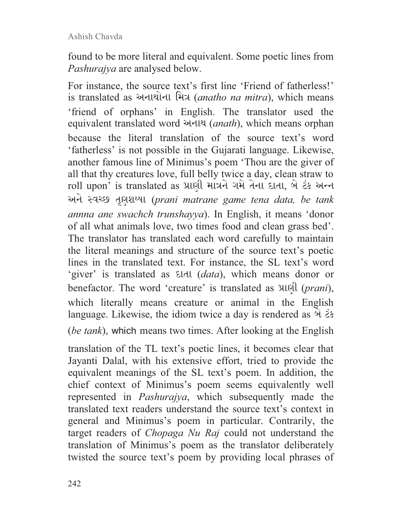found to be more literal and equivalent. Some poetic lines from *Pashurajya* are analysed below.

For instance, the source text's first line 'Friend of fatherless!' is translated as અનાથોના મિત્ર (anatho na mitra), which means 'friend of orphans' in English. The translator used the equivalent translated word અનાથ (anath), which means orphan because the literal translation of the source text's word 'fatherless' is not possible in the Gujarati language. Likewise, another famous line of Minimus's poem 'Thou are the giver of all that thy creatures love, full belly twice a day, clean straw to roll upon' is translated as પ્રાણી માત્રને ગમે તેના દાતા, બે ટંક અન્ન અને સ્વચ્છ તૃણશય્યા (prani matrane game tena data, be tank *annna ane swachch trunshayya*). In English, it means 'donor of all what animals love, two times food and clean grass bed'. The translator has translated each word carefully to maintain the literal meanings and structure of the source text's poetic lines in the translated text. For instance, the SL text's word 'giver' is translated as  $E/dt$  *data*), which means donor or benefactor. The word 'creature' is translated as  $\lambda$ which literally means creature or animal in the English language. Likewise, the idiom twice a day is rendered as  $\hat{\theta}$   $\hat{\epsilon}$ (*be tank*), which means two times. After looking at the English

translation of the TL text's poetic lines, it becomes clear that Jayanti Dalal, with his extensive effort, tried to provide the equivalent meanings of the SL text's poem. In addition, the chief context of Minimus's poem seems equivalently well represented in *Pashurajya*, which subsequently made the translated text readers understand the source text's context in general and Minimus's poem in particular. Contrarily, the target readers of *Chopaga Nu Raj* could not understand the translation of Minimus's poem as the translator deliberately twisted the source text's poem by providing local phrases of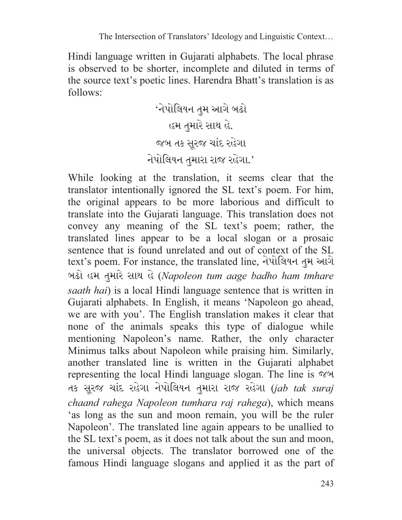Hindi language written in Gujarati alphabets. The local phrase is observed to be shorter, incomplete and diluted in terms of the source text's poetic lines. Harendra Bhatt's translation is as follows:

گڍږڬڂٴژڧڏړڙڛڥگڔڬړ' .ڬڡڐڤڠڬښڤژڧڏژڡ ڤڂڬڡښڑٱڤڅڇښڨڠڀڏږڇ '.ڤڂڬڡښڇڤښڤښڤژڧڏړڙڛڥگڔڬړ

While looking at the translation, it seems clear that the translator intentionally ignored the SL text's poem. For him, the original appears to be more laborious and difficult to translate into the Gujarati language. This translation does not convey any meaning of the SL text's poem; rather, the translated lines appear to be a local slogan or a prosaic sentence that is found unrelated and out of context of the SL text's poem. For instance, the translated line, નેપોલિયન તુમ આગે હો હમ તુમારે સાથ હે (Napoleon tum aage badho ham tmhare *saath hai*) is a local Hindi language sentence that is written in Gujarati alphabets. In English, it means 'Napoleon go ahead, we are with you'. The English translation makes it clear that none of the animals speaks this type of dialogue while mentioning Napoleon's name. Rather, the only character Minimus talks about Napoleon while praising him. Similarly, another translated line is written in the Gujarati alphabet representing the local Hindi language slogan. The line is જબ તક સૂરજ ચાંદ રહેગા નેપોલિયન તુમારા રાજ રહેગા (jab tak suraj *chaand rahega Napoleon tumhara raj rahega*), which means 'as long as the sun and moon remain, you will be the ruler Napoleon'. The translated line again appears to be unallied to the SL text's poem, as it does not talk about the sun and moon, the universal objects. The translator borrowed one of the famous Hindi language slogans and applied it as the part of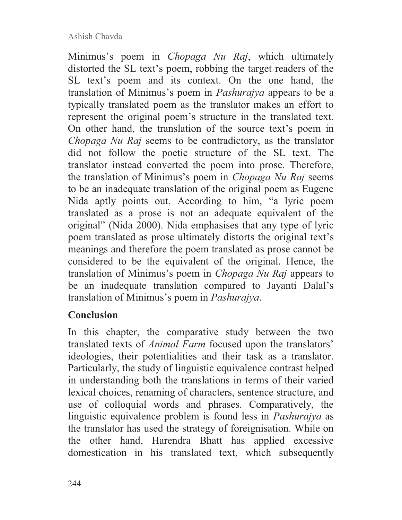Minimus's poem in *Chopaga Nu Raj*, which ultimately distorted the SL text's poem, robbing the target readers of the SL text's poem and its context. On the one hand, the translation of Minimus's poem in *Pashurajya* appears to be a typically translated poem as the translator makes an effort to represent the original poem's structure in the translated text. On other hand, the translation of the source text's poem in *Chopaga Nu Raj* seems to be contradictory, as the translator did not follow the poetic structure of the SL text. The translator instead converted the poem into prose. Therefore, the translation of Minimus's poem in *Chopaga Nu Raj* seems to be an inadequate translation of the original poem as Eugene Nida aptly points out. According to him, "a lyric poem translated as a prose is not an adequate equivalent of the original" (Nida 2000). Nida emphasises that any type of lyric poem translated as prose ultimately distorts the original text's meanings and therefore the poem translated as prose cannot be considered to be the equivalent of the original. Hence, the translation of Minimus's poem in *Chopaga Nu Raj* appears to be an inadequate translation compared to Jayanti Dalal's translation of Minimus's poem in *Pashurajya*.

### **Conclusion**

In this chapter, the comparative study between the two translated texts of *Animal Farm* focused upon the translators' ideologies, their potentialities and their task as a translator. Particularly, the study of linguistic equivalence contrast helped in understanding both the translations in terms of their varied lexical choices, renaming of characters, sentence structure, and use of colloquial words and phrases. Comparatively, the linguistic equivalence problem is found less in *Pashurajya* as the translator has used the strategy of foreignisation. While on the other hand, Harendra Bhatt has applied excessive domestication in his translated text, which subsequently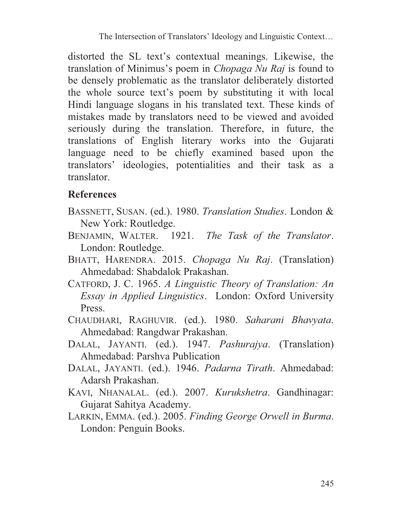distorted the SL text's contextual meanings. Likewise, the translation of Minimus's poem in *Chopaga Nu Raj* is found to be densely problematic as the translator deliberately distorted the whole source text's poem by substituting it with local Hindi language slogans in his translated text. These kinds of mistakes made by translators need to be viewed and avoided seriously during the translation. Therefore, in future, the translations of English literary works into the Gujarati language need to be chiefly examined based upon the translators' ideologies, potentialities and their task as a translator.

## **References**

- BASSNETT, SUSAN. (ed.). 1980. *Translation Studies*. London & New York: Routledge.
- BENJAMIN, WALTER. 1921. *The Task of the Translator*. London: Routledge.
- BHATT, HARENDRA. 2015. *Chopaga Nu Raj*. (Translation) Ahmedabad: Shabdalok Prakashan.
- CATFORD, J. C. 1965. *A Linguistic Theory of Translation: An Essay in Applied Linguistics*. London: Oxford University Press.
- CHAUDHARI, RAGHUVIR. (ed.). 1980. *Saharani Bhavyata*. Ahmedabad: Rangdwar Prakashan.
- DALAL, JAYANTI. (ed.). 1947. *Pashurajya*. (Translation) Ahmedabad: Parshva Publication
- DALAL, JAYANTI. (ed.). 1946. *Padarna Tirath*. Ahmedabad: Adarsh Prakashan.
- KAVI, NHANALAL. (ed.). 2007. *Kurukshetra*. Gandhinagar: Gujarat Sahitya Academy.
- LARKIN, EMMA. (ed.). 2005. *Finding George Orwell in Burma*. London: Penguin Books.